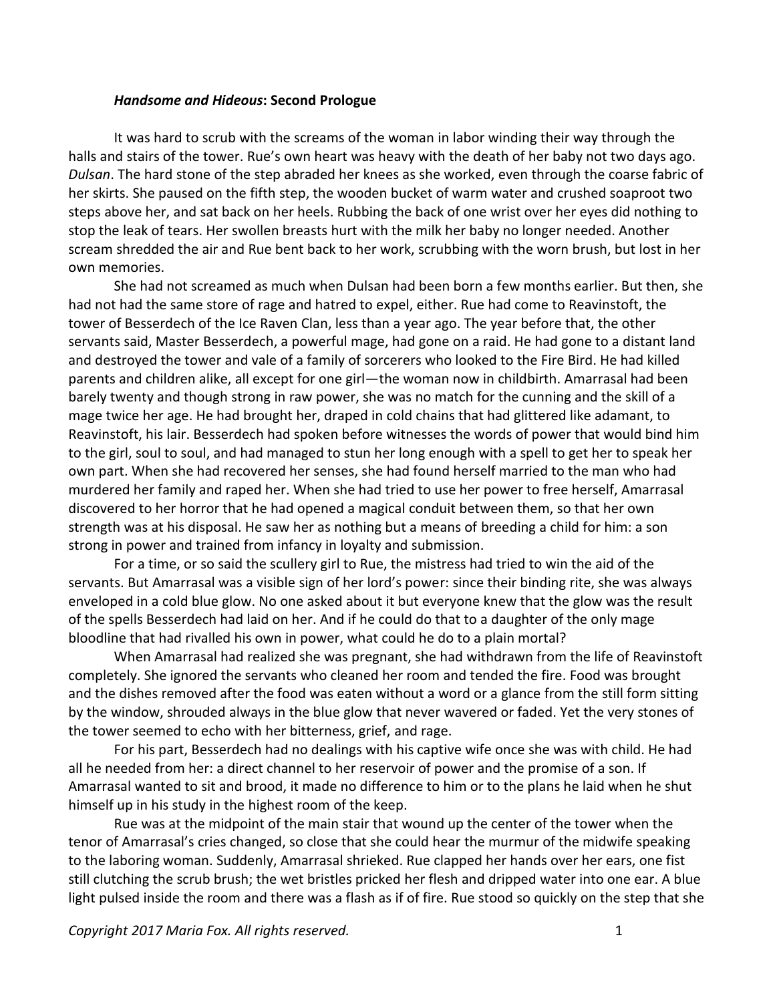## *Handsome and Hideous***: Second Prologue**

It was hard to scrub with the screams of the woman in labor winding their way through the halls and stairs of the tower. Rue's own heart was heavy with the death of her baby not two days ago. *Dulsan*. The hard stone of the step abraded her knees as she worked, even through the coarse fabric of her skirts. She paused on the fifth step, the wooden bucket of warm water and crushed soaproot two steps above her, and sat back on her heels. Rubbing the back of one wrist over her eyes did nothing to stop the leak of tears. Her swollen breasts hurt with the milk her baby no longer needed. Another scream shredded the air and Rue bent back to her work, scrubbing with the worn brush, but lost in her own memories.

She had not screamed as much when Dulsan had been born a few months earlier. But then, she had not had the same store of rage and hatred to expel, either. Rue had come to Reavinstoft, the tower of Besserdech of the Ice Raven Clan, less than a year ago. The year before that, the other servants said, Master Besserdech, a powerful mage, had gone on a raid. He had gone to a distant land and destroyed the tower and vale of a family of sorcerers who looked to the Fire Bird. He had killed parents and children alike, all except for one girl—the woman now in childbirth. Amarrasal had been barely twenty and though strong in raw power, she was no match for the cunning and the skill of a mage twice her age. He had brought her, draped in cold chains that had glittered like adamant, to Reavinstoft, his lair. Besserdech had spoken before witnesses the words of power that would bind him to the girl, soul to soul, and had managed to stun her long enough with a spell to get her to speak her own part. When she had recovered her senses, she had found herself married to the man who had murdered her family and raped her. When she had tried to use her power to free herself, Amarrasal discovered to her horror that he had opened a magical conduit between them, so that her own strength was at his disposal. He saw her as nothing but a means of breeding a child for him: a son strong in power and trained from infancy in loyalty and submission.

For a time, or so said the scullery girl to Rue, the mistress had tried to win the aid of the servants. But Amarrasal was a visible sign of her lord's power: since their binding rite, she was always enveloped in a cold blue glow. No one asked about it but everyone knew that the glow was the result of the spells Besserdech had laid on her. And if he could do that to a daughter of the only mage bloodline that had rivalled his own in power, what could he do to a plain mortal?

When Amarrasal had realized she was pregnant, she had withdrawn from the life of Reavinstoft completely. She ignored the servants who cleaned her room and tended the fire. Food was brought and the dishes removed after the food was eaten without a word or a glance from the still form sitting by the window, shrouded always in the blue glow that never wavered or faded. Yet the very stones of the tower seemed to echo with her bitterness, grief, and rage.

For his part, Besserdech had no dealings with his captive wife once she was with child. He had all he needed from her: a direct channel to her reservoir of power and the promise of a son. If Amarrasal wanted to sit and brood, it made no difference to him or to the plans he laid when he shut himself up in his study in the highest room of the keep.

Rue was at the midpoint of the main stair that wound up the center of the tower when the tenor of Amarrasal's cries changed, so close that she could hear the murmur of the midwife speaking to the laboring woman. Suddenly, Amarrasal shrieked. Rue clapped her hands over her ears, one fist still clutching the scrub brush; the wet bristles pricked her flesh and dripped water into one ear. A blue light pulsed inside the room and there was a flash as if of fire. Rue stood so quickly on the step that she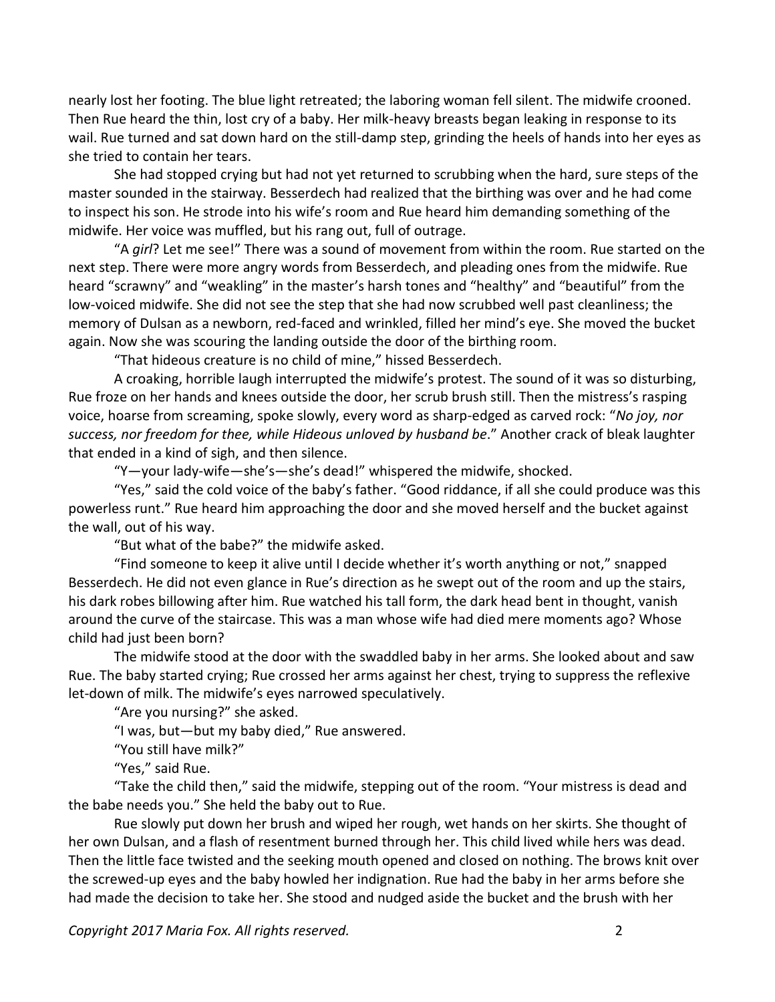nearly lost her footing. The blue light retreated; the laboring woman fell silent. The midwife crooned. Then Rue heard the thin, lost cry of a baby. Her milk-heavy breasts began leaking in response to its wail. Rue turned and sat down hard on the still-damp step, grinding the heels of hands into her eyes as she tried to contain her tears.

She had stopped crying but had not yet returned to scrubbing when the hard, sure steps of the master sounded in the stairway. Besserdech had realized that the birthing was over and he had come to inspect his son. He strode into his wife's room and Rue heard him demanding something of the midwife. Her voice was muffled, but his rang out, full of outrage.

"A *girl*? Let me see!" There was a sound of movement from within the room. Rue started on the next step. There were more angry words from Besserdech, and pleading ones from the midwife. Rue heard "scrawny" and "weakling" in the master's harsh tones and "healthy" and "beautiful" from the low-voiced midwife. She did not see the step that she had now scrubbed well past cleanliness; the memory of Dulsan as a newborn, red-faced and wrinkled, filled her mind's eye. She moved the bucket again. Now she was scouring the landing outside the door of the birthing room.

"That hideous creature is no child of mine," hissed Besserdech.

A croaking, horrible laugh interrupted the midwife's protest. The sound of it was so disturbing, Rue froze on her hands and knees outside the door, her scrub brush still. Then the mistress's rasping voice, hoarse from screaming, spoke slowly, every word as sharp-edged as carved rock: "*No joy, nor success, nor freedom for thee, while Hideous unloved by husband be*." Another crack of bleak laughter that ended in a kind of sigh, and then silence.

"Y—your lady-wife—she's—she's dead!" whispered the midwife, shocked.

"Yes," said the cold voice of the baby's father. "Good riddance, if all she could produce was this powerless runt." Rue heard him approaching the door and she moved herself and the bucket against the wall, out of his way.

"But what of the babe?" the midwife asked.

"Find someone to keep it alive until I decide whether it's worth anything or not," snapped Besserdech. He did not even glance in Rue's direction as he swept out of the room and up the stairs, his dark robes billowing after him. Rue watched his tall form, the dark head bent in thought, vanish around the curve of the staircase. This was a man whose wife had died mere moments ago? Whose child had just been born?

The midwife stood at the door with the swaddled baby in her arms. She looked about and saw Rue. The baby started crying; Rue crossed her arms against her chest, trying to suppress the reflexive let-down of milk. The midwife's eyes narrowed speculatively.

"Are you nursing?" she asked.

"I was, but—but my baby died," Rue answered.

"You still have milk?"

"Yes," said Rue.

"Take the child then," said the midwife, stepping out of the room. "Your mistress is dead and the babe needs you." She held the baby out to Rue.

Rue slowly put down her brush and wiped her rough, wet hands on her skirts. She thought of her own Dulsan, and a flash of resentment burned through her. This child lived while hers was dead. Then the little face twisted and the seeking mouth opened and closed on nothing. The brows knit over the screwed-up eyes and the baby howled her indignation. Rue had the baby in her arms before she had made the decision to take her. She stood and nudged aside the bucket and the brush with her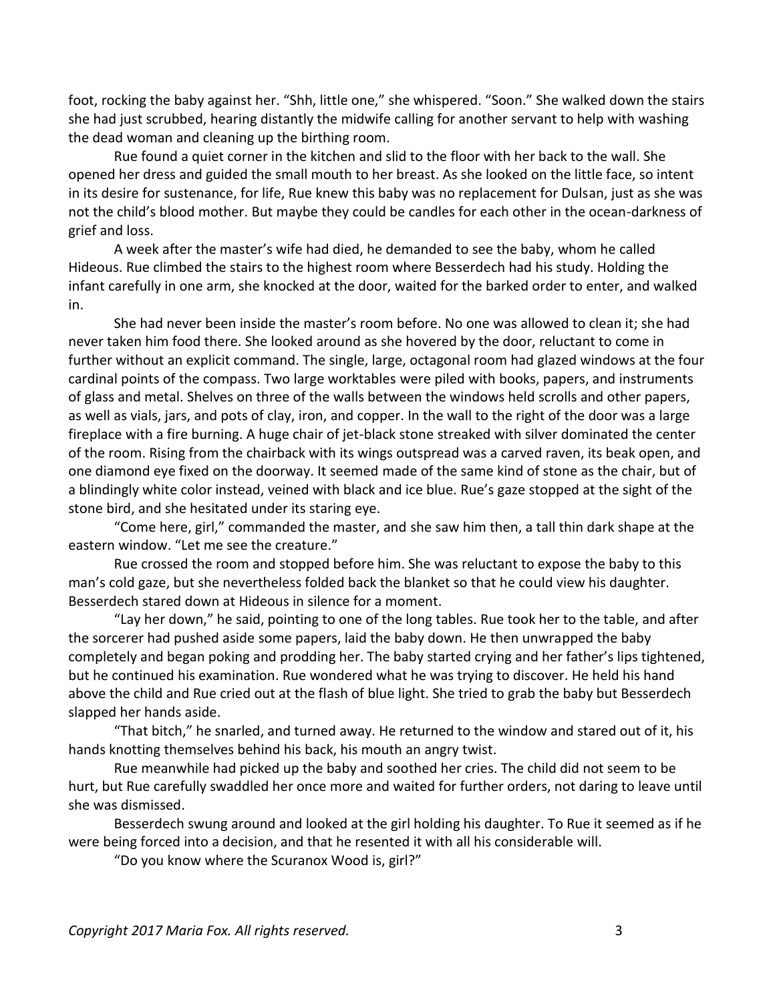foot, rocking the baby against her. "Shh, little one," she whispered. "Soon." She walked down the stairs she had just scrubbed, hearing distantly the midwife calling for another servant to help with washing the dead woman and cleaning up the birthing room.

Rue found a quiet corner in the kitchen and slid to the floor with her back to the wall. She opened her dress and guided the small mouth to her breast. As she looked on the little face, so intent in its desire for sustenance, for life, Rue knew this baby was no replacement for Dulsan, just as she was not the child's blood mother. But maybe they could be candles for each other in the ocean-darkness of grief and loss.

A week after the master's wife had died, he demanded to see the baby, whom he called Hideous. Rue climbed the stairs to the highest room where Besserdech had his study. Holding the infant carefully in one arm, she knocked at the door, waited for the barked order to enter, and walked in.

She had never been inside the master's room before. No one was allowed to clean it; she had never taken him food there. She looked around as she hovered by the door, reluctant to come in further without an explicit command. The single, large, octagonal room had glazed windows at the four cardinal points of the compass. Two large worktables were piled with books, papers, and instruments of glass and metal. Shelves on three of the walls between the windows held scrolls and other papers, as well as vials, jars, and pots of clay, iron, and copper. In the wall to the right of the door was a large fireplace with a fire burning. A huge chair of jet-black stone streaked with silver dominated the center of the room. Rising from the chairback with its wings outspread was a carved raven, its beak open, and one diamond eye fixed on the doorway. It seemed made of the same kind of stone as the chair, but of a blindingly white color instead, veined with black and ice blue. Rue's gaze stopped at the sight of the stone bird, and she hesitated under its staring eye.

"Come here, girl," commanded the master, and she saw him then, a tall thin dark shape at the eastern window. "Let me see the creature."

Rue crossed the room and stopped before him. She was reluctant to expose the baby to this man's cold gaze, but she nevertheless folded back the blanket so that he could view his daughter. Besserdech stared down at Hideous in silence for a moment.

"Lay her down," he said, pointing to one of the long tables. Rue took her to the table, and after the sorcerer had pushed aside some papers, laid the baby down. He then unwrapped the baby completely and began poking and prodding her. The baby started crying and her father's lips tightened, but he continued his examination. Rue wondered what he was trying to discover. He held his hand above the child and Rue cried out at the flash of blue light. She tried to grab the baby but Besserdech slapped her hands aside.

"That bitch," he snarled, and turned away. He returned to the window and stared out of it, his hands knotting themselves behind his back, his mouth an angry twist.

Rue meanwhile had picked up the baby and soothed her cries. The child did not seem to be hurt, but Rue carefully swaddled her once more and waited for further orders, not daring to leave until she was dismissed.

Besserdech swung around and looked at the girl holding his daughter. To Rue it seemed as if he were being forced into a decision, and that he resented it with all his considerable will.

"Do you know where the Scuranox Wood is, girl?"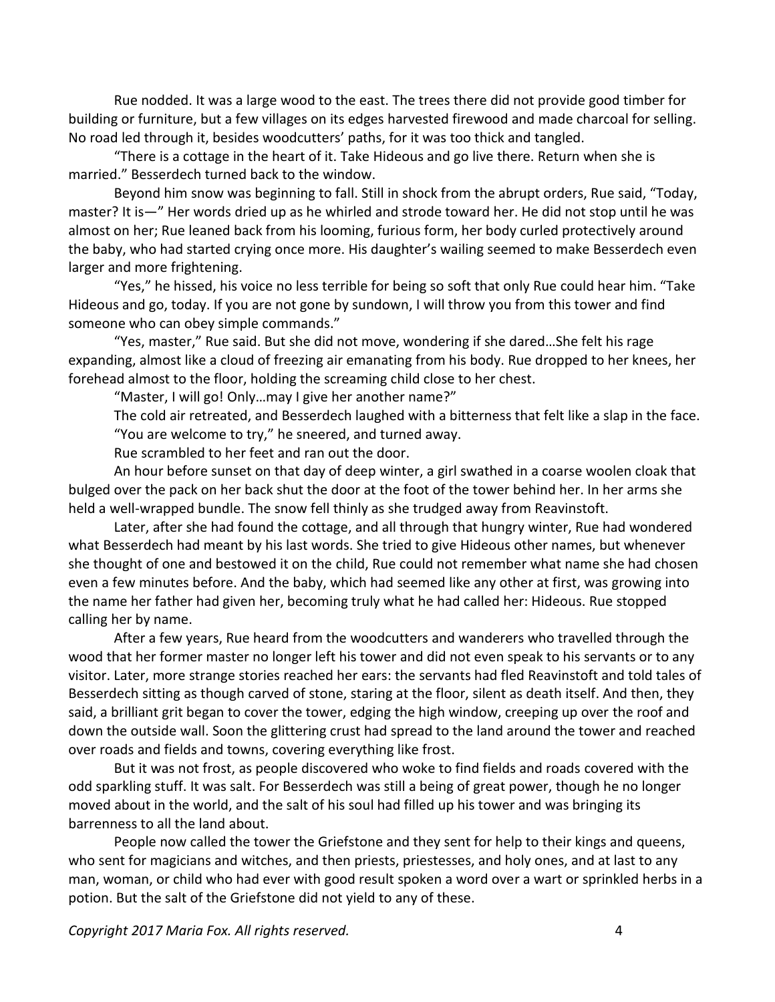Rue nodded. It was a large wood to the east. The trees there did not provide good timber for building or furniture, but a few villages on its edges harvested firewood and made charcoal for selling. No road led through it, besides woodcutters' paths, for it was too thick and tangled.

"There is a cottage in the heart of it. Take Hideous and go live there. Return when she is married." Besserdech turned back to the window.

Beyond him snow was beginning to fall. Still in shock from the abrupt orders, Rue said, "Today, master? It is—" Her words dried up as he whirled and strode toward her. He did not stop until he was almost on her; Rue leaned back from his looming, furious form, her body curled protectively around the baby, who had started crying once more. His daughter's wailing seemed to make Besserdech even larger and more frightening.

"Yes," he hissed, his voice no less terrible for being so soft that only Rue could hear him. "Take Hideous and go, today. If you are not gone by sundown, I will throw you from this tower and find someone who can obey simple commands."

"Yes, master," Rue said. But she did not move, wondering if she dared…She felt his rage expanding, almost like a cloud of freezing air emanating from his body. Rue dropped to her knees, her forehead almost to the floor, holding the screaming child close to her chest.

"Master, I will go! Only…may I give her another name?"

The cold air retreated, and Besserdech laughed with a bitterness that felt like a slap in the face. "You are welcome to try," he sneered, and turned away.

Rue scrambled to her feet and ran out the door.

An hour before sunset on that day of deep winter, a girl swathed in a coarse woolen cloak that bulged over the pack on her back shut the door at the foot of the tower behind her. In her arms she held a well-wrapped bundle. The snow fell thinly as she trudged away from Reavinstoft.

Later, after she had found the cottage, and all through that hungry winter, Rue had wondered what Besserdech had meant by his last words. She tried to give Hideous other names, but whenever she thought of one and bestowed it on the child, Rue could not remember what name she had chosen even a few minutes before. And the baby, which had seemed like any other at first, was growing into the name her father had given her, becoming truly what he had called her: Hideous. Rue stopped calling her by name.

After a few years, Rue heard from the woodcutters and wanderers who travelled through the wood that her former master no longer left his tower and did not even speak to his servants or to any visitor. Later, more strange stories reached her ears: the servants had fled Reavinstoft and told tales of Besserdech sitting as though carved of stone, staring at the floor, silent as death itself. And then, they said, a brilliant grit began to cover the tower, edging the high window, creeping up over the roof and down the outside wall. Soon the glittering crust had spread to the land around the tower and reached over roads and fields and towns, covering everything like frost.

But it was not frost, as people discovered who woke to find fields and roads covered with the odd sparkling stuff. It was salt. For Besserdech was still a being of great power, though he no longer moved about in the world, and the salt of his soul had filled up his tower and was bringing its barrenness to all the land about.

People now called the tower the Griefstone and they sent for help to their kings and queens, who sent for magicians and witches, and then priests, priestesses, and holy ones, and at last to any man, woman, or child who had ever with good result spoken a word over a wart or sprinkled herbs in a potion. But the salt of the Griefstone did not yield to any of these.